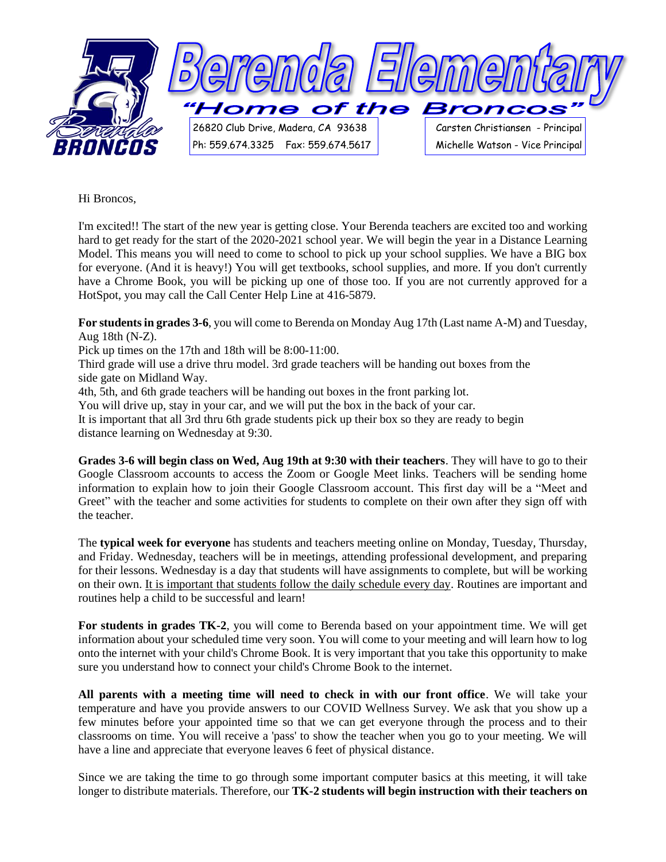

Hi Broncos,

I'm excited!! The start of the new year is getting close. Your Berenda teachers are excited too and working hard to get ready for the start of the 2020-2021 school year. We will begin the year in a Distance Learning Model. This means you will need to come to school to pick up your school supplies. We have a BIG box for everyone. (And it is heavy!) You will get textbooks, school supplies, and more. If you don't currently have a Chrome Book, you will be picking up one of those too. If you are not currently approved for a HotSpot, you may call the Call Center Help Line at 416-5879.

**For students in grades 3-6**, you will come to Berenda on Monday Aug 17th (Last name A-M) and Tuesday, Aug 18th (N-Z).

Pick up times on the 17th and 18th will be 8:00-11:00.

Third grade will use a drive thru model. 3rd grade teachers will be handing out boxes from the side gate on Midland Way.

4th, 5th, and 6th grade teachers will be handing out boxes in the front parking lot.

You will drive up, stay in your car, and we will put the box in the back of your car.

It is important that all 3rd thru 6th grade students pick up their box so they are ready to begin distance learning on Wednesday at 9:30.

**Grades 3-6 will begin class on Wed, Aug 19th at 9:30 with their teachers**. They will have to go to their Google Classroom accounts to access the Zoom or Google Meet links. Teachers will be sending home information to explain how to join their Google Classroom account. This first day will be a "Meet and Greet" with the teacher and some activities for students to complete on their own after they sign off with the teacher.

The **typical week for everyone** has students and teachers meeting online on Monday, Tuesday, Thursday, and Friday. Wednesday, teachers will be in meetings, attending professional development, and preparing for their lessons. Wednesday is a day that students will have assignments to complete, but will be working on their own. It is important that students follow the daily schedule every day. Routines are important and routines help a child to be successful and learn!

**For students in grades TK-2**, you will come to Berenda based on your appointment time. We will get information about your scheduled time very soon. You will come to your meeting and will learn how to log onto the internet with your child's Chrome Book. It is very important that you take this opportunity to make sure you understand how to connect your child's Chrome Book to the internet.

**All parents with a meeting time will need to check in with our front office**. We will take your temperature and have you provide answers to our COVID Wellness Survey. We ask that you show up a few minutes before your appointed time so that we can get everyone through the process and to their classrooms on time. You will receive a 'pass' to show the teacher when you go to your meeting. We will have a line and appreciate that everyone leaves 6 feet of physical distance.

Since we are taking the time to go through some important computer basics at this meeting, it will take longer to distribute materials. Therefore, our **TK-2 students will begin instruction with their teachers on**